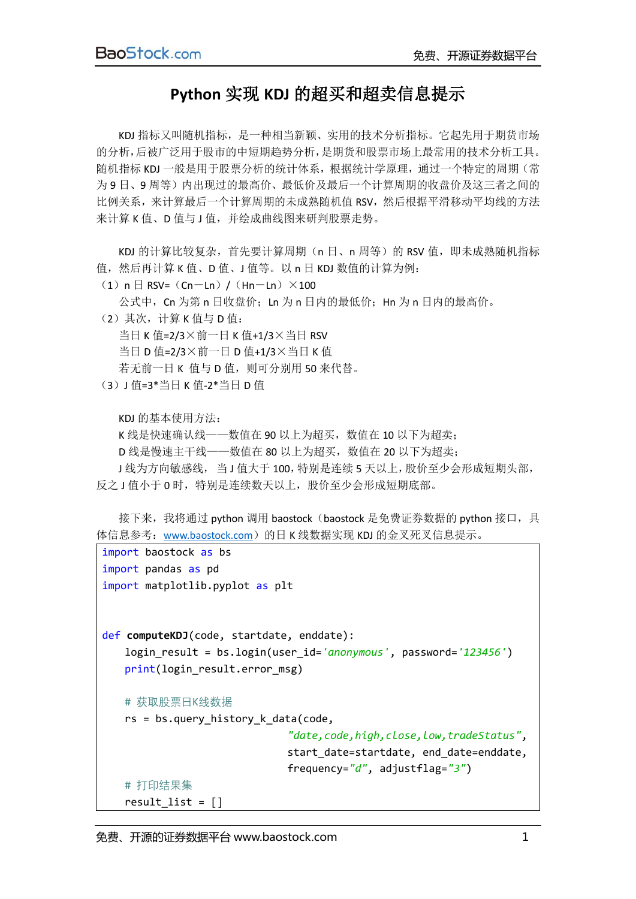## **Python** 实现 **KDJ** 的超买和超卖信息提示

KDJ 指标又叫随机指标,是一种相当新颖、实用的技术分析指标。它起先用于期货市场 的分析,后被广泛用于股市的中短期趋势分析,是期货和股票市场上最常用的技术分析工具。 随机指标 KDJ 一般是用于股票分析的统计体系,根据统计学原理,通过一个特定的周期(常 为 9 日、9 周等)内出现过的最高价、最低价及最后一个计算周期的收盘价及这三者之间的 比例关系,来计算最后一个计算周期的未成熟随机值 RSV,然后根据平滑移动平均线的方法 来计算 K 值、D 值与 J 值, 并绘成曲线图来研判股票走势。

KDJ 的计算比较复杂,首先要计算周期(n 日、n 周等)的 RSV 值,即未成熟随机指标 值,然后再计算 K 值、D 值、J 值等。以 n 日 KDJ 数值的计算为例:

 $(1)$ n  $\boxminus$  RSV= $(Cn-Ln)$  /  $(Hn-Ln) \times 100$ 

公式中, Cn 为第 n 日收盘价; Ln 为 n 日内的最低价; Hn 为 n 日内的最高价。

(2)其次,计算 K 值与 D 值:

当日 K 值=2/3×前一日 K 值+1/3×当日 RSV 当日 D 值=2/3×前一日 D 值+1/3×当日 K 值 若无前一日 K 值与 D 值, 则可分别用 50 来代替。

(3)J 值=3\*当日 K 值-2\*当日 D 值

KDJ 的基本使用方法:

K 线是快速确认线——数值在 90 以上为超买,数值在 10 以下为超卖;

D 线是慢速主干线——数值在 80 以上为超买,数值在 20 以下为超卖;

J 线为方向敏感线, 当 J 值大于 100, 特别是连续 5 天以上, 股价至少会形成短期头部, 反之 J 值小于 0 时, 特别是连续数天以上, 股价至少会形成短期底部。

接下来,我将通过 python 调用 baostock (baostock 是免费证券数据的 python 接口,具 体信息参考: [www.baostock.com](http://www.baostock.com/))的日 K 线数据实现 KDJ 的金叉死叉信息提示。

```
import baostock as bs
import pandas as pd
import matplotlib.pyplot as plt
def computeKDJ(code, startdate, enddate):
    login_result = bs.login(user_id='anonymous', password='123456')
   print(login_result.error_msg)
    # 获取股票日K线数据
    rs = bs.query_history_k_data(code,
                               "date,code,high,close,low,tradeStatus",
                              start date=startdate, end date=enddate,
                              frequency="d", adjustflag="3")
    # 打印结果集
   result list = []
```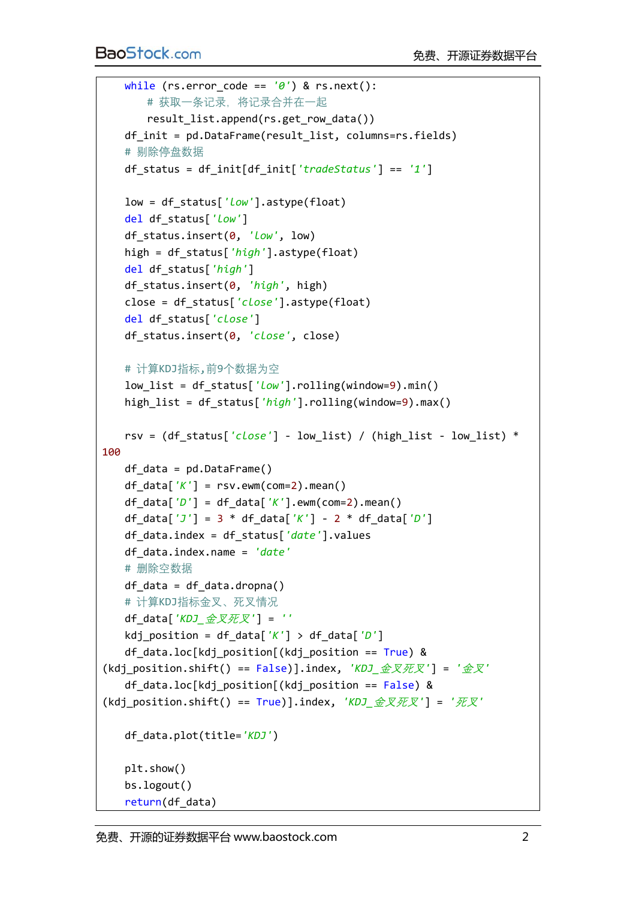```
 while (rs.error_code == '0') & rs.next():
        # 获取一条记录,将记录合并在一起
       result list.append(rs.get row data())
    df_init = pd.DataFrame(result_list, columns=rs.fields)
    # 剔除停盘数据
    df_status = df_init[df_init['tradeStatus'] == '1']
    low = df_status['low'].astype(float)
    del df_status['low']
    df_status.insert(0, 'low', low)
   high = df status['high'].astype(float)
    del df_status['high']
    df_status.insert(0, 'high', high)
    close = df_status['close'].astype(float)
    del df_status['close']
    df_status.insert(0, 'close', close)
    # 计算KDJ指标,前9个数据为空
   low list = df status['low'].rolling(window=9).min()
    high_list = df_status['high'].rolling(window=9).max()
    rsv = (df_status['close'] - low_list) / (high_list - low_list) * 
100
   df data = pd.DataFrame()df data['K'] = rsv.ewm(com=2).mean()
    df_data['D'] = df_data['K'].ewm(com=2).mean()
    df_data['J'] = 3 * df_data['K'] - 2 * df_data['D']
    df_data.index = df_status['date'].values
    df_data.index.name = 'date'
    # 删除空数据
   df_data = df_data.dropna() # 计算KDJ指标金叉、死叉情况
    df_data['KDJ_金叉死叉'] = ''
    kdj_position = df_data['K'] > df_data['D']
   df data.loc[kdj position[(kdj position == True) &
(kdj_position.shift() == False)].index, 'KDJ_金叉死叉'] = '金叉'
   df data.loc[kdj position[(kdj position == False) &
(kdj_position.shift() == True)].index, 'KDJ_金叉死叉'] = '死叉'
    df_data.plot(title='KDJ')
    plt.show()
    bs.logout()
    return(df_data)
```